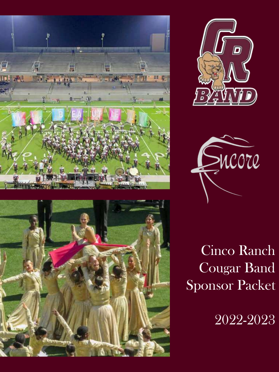







Cinco Ranch Cougar Band Sponsor Packet

2022-2023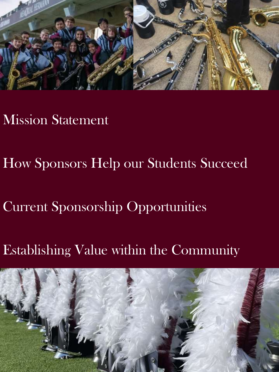

### Mission Statement

How Sponsors Help our Students Succeed

Current Sponsorship Opportunities

Establishing Value within the Community

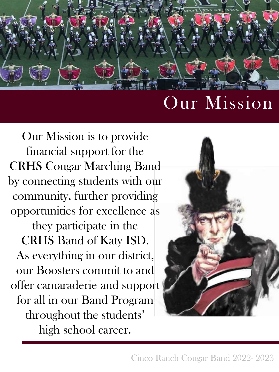

## Our Mission

Our Mission is to provide financial support for the CRHS Cougar Marching Band by connecting students with our community, further providing opportunities for excellence as they participate in the CRHS Band of Katy ISD. As everything in our district, our Boosters commit to and offer camaraderie and support for all in our Band Program throughout the students' high school career.

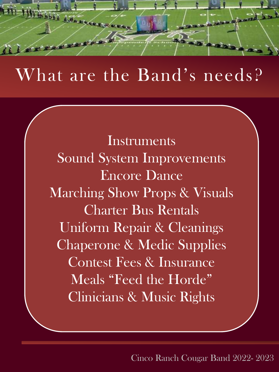

## What are the Band's needs?

**Instruments** Sound System Improvements Encore Dance Marching Show Props & Visuals Charter Bus Rentals Uniform Repair & Cleanings Chaperone & Medic Supplies Contest Fees & Insurance Meals "Feed the Horde" Clinicians & Music Rights

Cinco Ranch Cougar Band 2022- 2023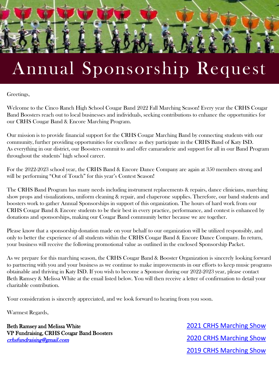

## Annual Sponsorship Request

Greetings,

Welcome to the Cinco Ranch High School Cougar Band 2022 Fall Marching Season! Every year the CRHS Cougar Band Boosters reach out to local businesses and individuals, seeking contributions to enhance the opportunities for our CRHS Cougar Band & Encore Marching Program.

Our mission is to provide financial support for the CRHS Cougar Marching Band by connecting students with our community, further providing opportunities for excellence as they participate in the CRHS Band of Katy ISD. As everything in our district, our Boosters commit to and offer camaraderie and support for all in our Band Program throughout the students' high school career.

For the 2022-2023 school year, the CRHS Band & Encore Dance Company are again at 350 members strong and will be performing "Out of Touch" for this year's Contest Season!

The CRHS Band Program has many needs including instrument replacements & repairs, dance clinicians, marching show props and visualizations, uniform cleaning & repair, and chaperone supplies. Therefore, our band students and boosters work to gather Annual Sponsorships in support of this organization. The hours of hard work from our CRHS Cougar Band & Encore students to be their best in every practice, performance, and contest is enhanced by donations and sponsorships, making our Cougar Band community better because we are together.

Please know that a sponsorship donation made on your behalf to our organization will be utilized responsibly, and only to better the experience of all students within the CRHS Cougar Band & Encore Dance Company. In return, your business will receive the following promotional value as outlined in the enclosed Sponsorship Packet.

As we prepare for this marching season, the CRHS Cougar Band & Booster Organization is sincerely looking forward to partnering with you and your business as we continue to make improvements in our efforts to keep music programs obtainable and thriving in Katy ISD. If you wish to become a Sponsor during our 2022-2023 year, please contact Beth Ramsey & Melissa White at the email listed below. You will then receive a letter of confirmation to detail your charitable contribution.

Your consideration is sincerely appreciated, and we look forward to hearing from you soon.

Warmest Regards,

Beth Ramsey and Melissa White VP Fundraising, CRHS Cougar Band Boosters [crhsfundraising@gmail.com](mailto:crhsfundraising@gmail.com)

[2019 CRHS Marching Show](https://www.youtube.com/watch?v=jPQCXi7yZV0) [2020 CRHS Marching Show](https://www.youtube.com/watch?v=mqG3lGvXC0I) [2021 CRHS Marching Show](https://www.youtube.com/watch?v=xDUljG4xBGk)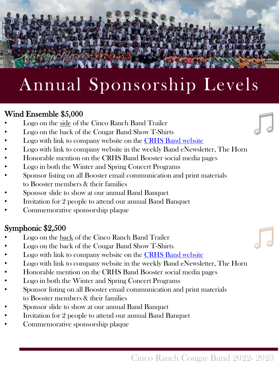## Annual Sponsorship Levels

#### Wind Ensemble \$5,000

- Logo on the side of the Cinco Ranch Band Trailer
- Logo on the back of the Cougar Band Show T-Shirts
- Logo with link to company website on the **CRHS** Band website
- Logo with link to company website in the weekly Band eNewsletter, The Horn
- Honorable mention on the CRHS Band Booster social media pages
- Logo in both the Winter and Spring Concert Programs
- Sponsor listing on all Booster email communication and print materials to Booster members & their families
- Sponsor slide to show at our annual Band Banquet
- Invitation for 2 people to attend our annual Band Banquet
- Commemorative sponsorship plaque

#### Symphonic \$2,500

- Logo on the back of the Cinco Ranch Band Trailer
- Logo on the back of the Cougar Band Show T-Shirts
- Logo with link to company website on the [CRHS Band website](https://cincoranchcougarband.com/)
- Logo with link to company website in the weekly Band eNewsletter, The Horn
- Honorable mention on the CRHS Band Booster social media pages
- Logo in both the Winter and Spring Concert Programs
- Sponsor listing on all Booster email communication and print materials to Booster members & their families
- Sponsor slide to show at our annual Band Banquet
- Invitation for 2 people to attend our annual Band Banquet
- Commemorative sponsorship plaque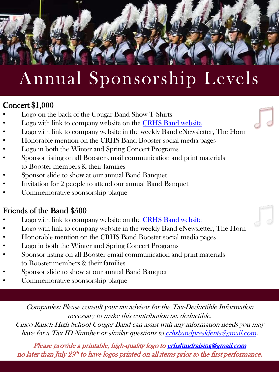# Annual Sponsorship Levels

#### Concert \$1,000

- Logo on the back of the Cougar Band Show T-Shirts
- Logo with link to company website on the [CRHS Band website](https://cincoranchcougarband.com/)
- Logo with link to company website in the weekly Band eNewsletter, The Horn
- Honorable mention on the CRHS Band Booster social media pages
- Logo in both the Winter and Spring Concert Programs
- Sponsor listing on all Booster email communication and print materials to Booster members & their families
- Sponsor slide to show at our annual Band Banquet
- Invitation for 2 people to attend our annual Band Banquet
- Commemorative sponsorship plaque

#### Friends of the Band \$500

- Logo with link to company website on the [CRHS Band website](https://cincoranchcougarband.com/)
- Logo with link to company website in the weekly Band eNewsletter, The Horn
- Honorable mention on the CRHS Band Booster social media pages
- Logo in both the Winter and Spring Concert Programs
- Sponsor listing on all Booster email communication and print materials to Booster members & their families
- Sponsor slide to show at our annual Band Banquet
- Commemorative sponsorship plaque

Companies: Please consult your tax advisor for the Tax-Deductible Information necessary to make this contribution tax deductible.

Cinco Ranch High School Cougar Band can assist with any information needs you may have for a Tax ID Number or similar questions to [crhsbandpresidents@gmail.com](mailto:crhsbandpresidents@gmail.com).

Please provide a printable, high-quality logo to [crhsfundraising@gmail.com](mailto:crhsfundraising@gmail.com) no later than July  $29^{\rm th}$  to have logos printed on all items prior to the first performance.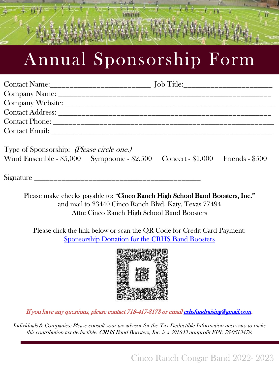## Annual Sponsorship Form

Type of Sponsorship: (Please circle one.) Wind Ensemble - \$5,000 Symphonic - \$2,500 Concert - \$1,000 Friends - \$500

Signature

Please make checks payable to: "Cinco Ranch High School Band Boosters, Inc." and mail to 23440 Cinco Ranch Blvd. Katy, Texas 77494 Attn: Cinco Ranch High School Band Boosters

Please click the link below or scan the QR Code for Credit Card Payment: [Sponsorship Donation for the CRHS Band Boosters](https://checkout.square.site/merchant/MLXTYZMPGP6D4/checkout/MXLROM3NYV7LKXR6S6PFHKIT)



If you have any questions, please contact 713-417-8173 or emai[l crhsfundraising@gmail.com](mailto:crhsfundraising@gmail.com).

Individuals & Companies: Please consult your tax advisor for the Tax-Deductible Information necessary to make this contribution tax deductible. CRHS Band Boosters, Inc. is a 501(c)3 nonprofit EIN: 76-0613479.